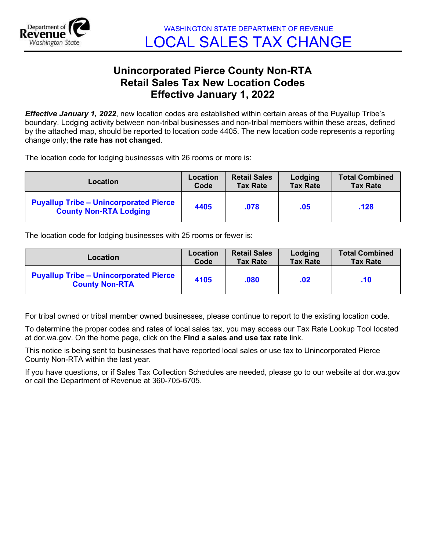

## Unincorporated Pierce County Non-RTA Retail Sales Tax New Location Codes Effective January 1, 2022

**Effective January 1, 2022**, new location codes are established within certain areas of the Puyallup Tribe's boundary. Lodging activity between non-tribal businesses and non-tribal members within these areas, defined by the attached map, should be reported to location code 4405. The new location code represents a reporting change only; the rate has not changed.

The location code for lodging businesses with 26 rooms or more is:

| Location                                                                       | Location | <b>Retail Sales</b> | Lodging         | <b>Total Combined</b> |
|--------------------------------------------------------------------------------|----------|---------------------|-----------------|-----------------------|
|                                                                                | Code     | <b>Tax Rate</b>     | <b>Tax Rate</b> | <b>Tax Rate</b>       |
| <b>Puyallup Tribe - Unincorporated Pierce</b><br><b>County Non-RTA Lodging</b> | 4405     | .078                | .05             | .128                  |

The location code for lodging businesses with 25 rooms or fewer is:

| Location                                                               | Location | <b>Retail Sales</b> | Lodging         | <b>Total Combined</b> |
|------------------------------------------------------------------------|----------|---------------------|-----------------|-----------------------|
|                                                                        | Code     | <b>Tax Rate</b>     | <b>Tax Rate</b> | <b>Tax Rate</b>       |
| <b>Puyallup Tribe - Unincorporated Pierce</b><br><b>County Non-RTA</b> | 4105     | .080                | .02             | .10                   |

For tribal owned or tribal member owned businesses, please continue to report to the existing location code.

To determine the proper codes and rates of local sales tax, you may access our Tax Rate Lookup Tool located at dor.wa.gov. On the home page, click on the Find a sales and use tax rate link.

This notice is being sent to businesses that have reported local sales or use tax to Unincorporated Pierce County Non-RTA within the last year.

If you have questions, or if Sales Tax Collection Schedules are needed, please go to our website at dor.wa.gov or call the Department of Revenue at 360-705-6705.